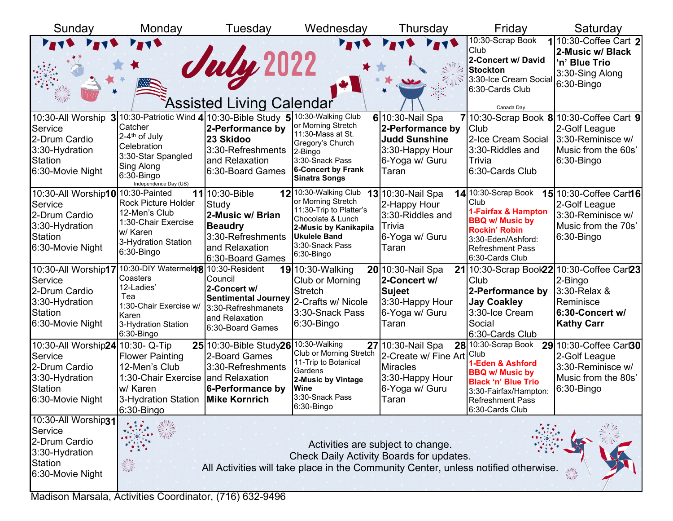| Sunday                                                                                                         | Monday                                                                                                                                                    | Tuesday                                                                                                                                                     | Wednesday                                                                                                                                                                           | Thursday                                                                                                   | Friday                                                                                                                                                                           | Saturday                                                                                                                      |
|----------------------------------------------------------------------------------------------------------------|-----------------------------------------------------------------------------------------------------------------------------------------------------------|-------------------------------------------------------------------------------------------------------------------------------------------------------------|-------------------------------------------------------------------------------------------------------------------------------------------------------------------------------------|------------------------------------------------------------------------------------------------------------|----------------------------------------------------------------------------------------------------------------------------------------------------------------------------------|-------------------------------------------------------------------------------------------------------------------------------|
|                                                                                                                |                                                                                                                                                           | July 2022<br>Assisted Living Calendar                                                                                                                       |                                                                                                                                                                                     |                                                                                                            | 10:30-Scrap Book<br>Club<br>2-Concert w/ David<br><b>Stockton</b><br>3:30-Ice Cream Social<br>6:30-Cards Club<br>Canada Day                                                      | 110:30-Coffee Cart 2<br>2-Music w/ Black<br>'n' Blue Trio<br>3:30-Sing Along<br>$6:30 - Bingo$                                |
| 10:30-All Worship<br>Service<br>2-Drum Cardio<br>3:30-Hydration<br><b>Station</b><br>6:30-Movie Night          | Catcher<br>2-4 <sup>th</sup> of July<br>Celebration<br>3:30-Star Spangled<br>Sing Along<br>$6:30 - Bingo$<br>Independence Day (US)                        | 3 10:30-Patriotic Wind 4 10:30-Bible Study 5 10:30-Walking Club<br>2-Performance by<br>23 Skidoo<br>3:30-Refreshments<br>and Relaxation<br>6:30-Board Games | or Morning Stretch<br>11:30-Mass at St.<br>Gregory's Church<br>2-Bingo<br>3:30-Snack Pass<br><b>6-Concert by Frank</b><br><b>Sinatra Songs</b>                                      | 6 10:30-Nail Spa<br>2-Performance by<br><b>Judd Sunshine</b><br>3:30-Happy Hour<br>6-Yoga w/ Guru<br>Taran | Club<br>2-Ice Cream Social<br>3:30-Riddles and<br>Trivia<br>6:30-Cards Club                                                                                                      | $7 10:30$ -Scrap Book $8 10:30$ -Coffee Cart 9<br>2-Golf League<br>3:30-Reminisce w/<br>Music from the 60s'<br>$6:30 - Bingo$ |
| 10:30-All Worship10 10:30-Painted<br>Service<br>2-Drum Cardio<br>3:30-Hydration<br>Station<br>6:30-Movie Night | <b>Rock Picture Holder</b><br>12-Men's Club<br>1:30-Chair Exercise<br>w/ Karen<br>3-Hydration Station<br>6:30-Bingo                                       | 11 10:30-Bible<br>Study<br>2-Music w/ Brian<br><b>Beaudry</b><br>3:30-Refreshments<br>and Relaxation<br>6:30-Board Games                                    | <b>12</b> 10:30-Walking Club<br>or Morning Stretch<br>11:30-Trip to Platter's<br>Chocolate & Lunch<br>2-Music by Kanikapila<br><b>Ukulele Band</b><br>3:30-Snack Pass<br>6:30-Bingo | 13 10:30-Nail Spa<br>2-Happy Hour<br>3:30-Riddles and<br>Trivia<br>6-Yoga w/ Guru<br>Taran                 | 14 10:30-Scrap Book<br>Club<br>1-Fairfax & Hampton<br><b>BBQ w/ Music by</b><br><b>Rockin' Robin</b><br>3:30-Eden/Ashford:<br><b>Refreshment Pass</b><br>6:30-Cards Club         | 15 10:30-Coffee Cart16<br>2-Golf League<br>3:30-Reminisce w/<br>Music from the 70s'<br>$6:30 - Bingo$                         |
| 10:30-All Worship17<br>Service<br>2-Drum Cardio<br>3:30-Hydration<br>Station<br>6:30-Movie Night               | 10:30-DIY Watermeld <sub>18</sub> 10:30-Resident<br>Coasters<br>12-Ladies'<br>Tea<br>1:30-Chair Exercise w/<br>Karen<br>3-Hydration Station<br>6:30-Bingo | Council<br>2-Concert w/<br> Sentimental Journey   2-Crafts w/ Nicole<br>3:30-Refreshmanets<br>and Relaxation<br>6:30-Board Games                            | <b>19</b> 10:30-Walking<br>Club or Morning<br><b>Stretch</b><br>3:30-Snack Pass<br>6:30-Bingo                                                                                       | 20 10:30-Nail Spa<br>2-Concert w/<br><b>Sujeet</b><br>3:30-Happy Hour<br>6-Yoga w/ Guru<br>Taran           | Club<br>2-Performance by<br><b>Jay Coakley</b><br>3:30-Ice Cream<br>Social<br>6:30-Cards Club                                                                                    | 21 10:30-Scrap Book22 10:30-Coffee Cart23<br>2-Bingo<br>3:30-Relax &<br>Reminisce<br>6:30-Concert w/<br><b>Kathy Carr</b>     |
| 10:30-All Worship24 10:30- Q-Tip<br>Service<br>2-Drum Cardio<br>3:30-Hydration<br>Station<br>6:30-Movie Night  | <b>Flower Painting</b><br>12-Men's Club<br>1:30-Chair Exercise and Relaxation<br>w/ Karen<br>3-Hydration Station   Mike Kornrich<br>6:30-Bingo            | 25 10:30-Bible Study 26 10:30-Walking<br>2-Board Games<br>3:30-Refreshments<br>6-Performance by                                                             | Club or Morning Stretch<br>11-Trip to Botanical<br>Gardens<br>2-Music by Vintage<br><b>Wine</b><br>3:30-Snack Pass<br>$6:30 - Bingo$                                                | 27 10:30-Nail Spa<br>2-Create w/ Fine Art<br><b>Miracles</b><br>3:30-Happy Hour<br>6-Yoga w/ Guru<br>Taran | $28$ 10:30-Scrap Book<br>Club<br>1-Eden & Ashford<br><b>BBQ w/ Music by</b><br><b>Black 'n' Blue Trio</b><br>3:30-Fairfax/Hampton:<br><b>Refreshment Pass</b><br>6:30-Cards Club | 29 10:30-Coffee Cart30<br>2-Golf League<br>3:30-Reminisce w/<br>Music from the 80s'<br>$6:30 - Bingo$                         |
| 10:30-All Worship31<br>Service<br>2-Drum Cardio<br>3:30-Hydration<br><b>Station</b><br>6:30-Movie Night        | $\frac{1}{\sqrt{2}}$                                                                                                                                      | All Activities will take place in the Community Center, unless notified otherwise.                                                                          |                                                                                                                                                                                     | Activities are subject to change.<br>Check Daily Activity Boards for updates.                              |                                                                                                                                                                                  |                                                                                                                               |

Madison Marsala, Activities Coordinator, (716) 632-9496